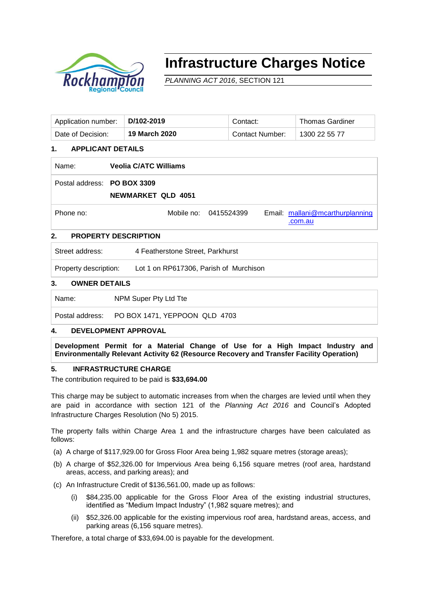

# **Infrastructure Charges Notice**

*PLANNING ACT 2016*, SECTION 121

| Application number: | D/102-2019    | Contact:        | Thomas Gardiner |
|---------------------|---------------|-----------------|-----------------|
| Date of Decision:   | 19 March 2020 | Contact Number: | 1300 22 55 77   |

# **1. APPLICANT DETAILS**

| Name:                       | <b>Veolia C/ATC Williams</b> |                       |                                            |
|-----------------------------|------------------------------|-----------------------|--------------------------------------------|
| Postal address: PO BOX 3309 | <b>NEWMARKET QLD 4051</b>    |                       |                                            |
| Phone no:                   |                              | Mobile no: 0415524399 | Email: mallani@mcarthurplanning<br>.com.au |

# **2. PROPERTY DESCRIPTION**

Street address: 4 Featherstone Street, Parkhurst

Property description: Lot 1 on RP617306, Parish of Murchison

## **3. OWNER DETAILS**

Name: NPM Super Pty Ltd Tte

Postal address: PO BOX 1471, YEPPOON QLD 4703

## **4. DEVELOPMENT APPROVAL**

**Development Permit for a Material Change of Use for a High Impact Industry and Environmentally Relevant Activity 62 (Resource Recovery and Transfer Facility Operation)**

#### **5. INFRASTRUCTURE CHARGE**

The contribution required to be paid is **\$33,694.00**

This charge may be subject to automatic increases from when the charges are levied until when they are paid in accordance with section 121 of the *Planning Act 2016* and Council's Adopted Infrastructure Charges Resolution (No 5) 2015.

The property falls within Charge Area 1 and the infrastructure charges have been calculated as follows:

- (a) A charge of \$117,929.00 for Gross Floor Area being 1,982 square metres (storage areas);
- (b) A charge of \$52,326.00 for Impervious Area being 6,156 square metres (roof area, hardstand areas, access, and parking areas); and
- (c) An Infrastructure Credit of \$136,561.00, made up as follows:
	- \$84,235.00 applicable for the Gross Floor Area of the existing industrial structures, identified as "Medium Impact Industry" (1,982 square metres); and
	- (ii) \$52,326.00 applicable for the existing impervious roof area, hardstand areas, access, and parking areas (6,156 square metres).

Therefore, a total charge of \$33,694.00 is payable for the development.